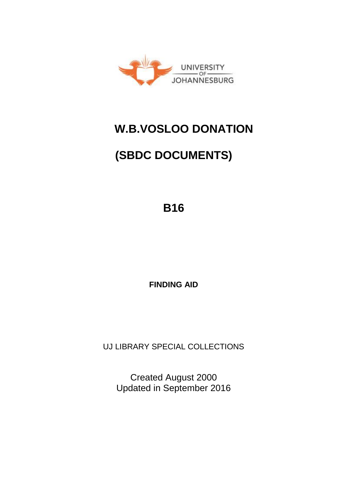

## **W.B.VOSLOO DONATION**

# **(SBDC DOCUMENTS)**

**B16** 

**FINDING AID** 

UJ LIBRARY SPECIAL COLLECTIONS

Created August 2000 Updated in September 2016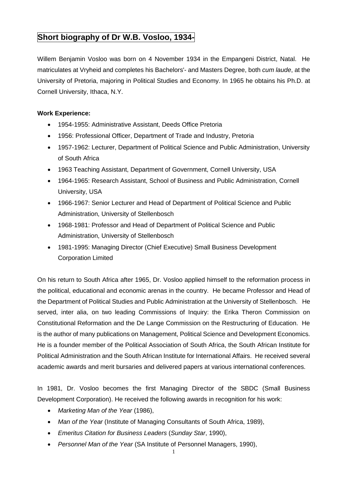## **Short biography of Dr W.B. Vosloo, 1934-**

Willem Benjamin Vosloo was born on 4 November 1934 in the Empangeni District, Natal. He matriculates at Vryheid and completes his Bachelors'- and Masters Degree, both *cum laude*, at the University of Pretoria, majoring in Political Studies and Economy. In 1965 he obtains his Ph.D. at Cornell University, Ithaca, N.Y.

#### **Work Experience:**

- 1954-1955: Administrative Assistant, Deeds Office Pretoria
- 1956: Professional Officer, Department of Trade and Industry, Pretoria
- 1957-1962: Lecturer, Department of Political Science and Public Administration, University of South Africa
- 1963 Teaching Assistant, Department of Government, Cornell University, USA
- 1964-1965: Research Assistant, School of Business and Public Administration, Cornell University, USA
- 1966-1967: Senior Lecturer and Head of Department of Political Science and Public Administration, University of Stellenbosch
- 1968-1981: Professor and Head of Department of Political Science and Public Administration, University of Stellenbosch
- 1981-1995: Managing Director (Chief Executive) Small Business Development Corporation Limited

On his return to South Africa after 1965, Dr. Vosloo applied himself to the reformation process in the political, educational and economic arenas in the country. He became Professor and Head of the Department of Political Studies and Public Administration at the University of Stellenbosch. He served, inter alia, on two leading Commissions of Inquiry: the Erika Theron Commission on Constitutional Reformation and the De Lange Commission on the Restructuring of Education. He is the author of many publications on Management, Political Science and Development Economics. He is a founder member of the Political Association of South Africa, the South African Institute for Political Administration and the South African Institute for International Affairs. He received several academic awards and merit bursaries and delivered papers at various international conferences.

In 1981, Dr. Vosloo becomes the first Managing Director of the SBDC (Small Business Development Corporation). He received the following awards in recognition for his work:

- *Marketing Man of the Year* (1986),
- *Man of the Year* (Institute of Managing Consultants of South Africa, 1989),
- *Emeritus Citation for Business Leaders* (*Sunday Star*, 1990),
- *Personnel Man of the Year* (SA Institute of Personnel Managers, 1990),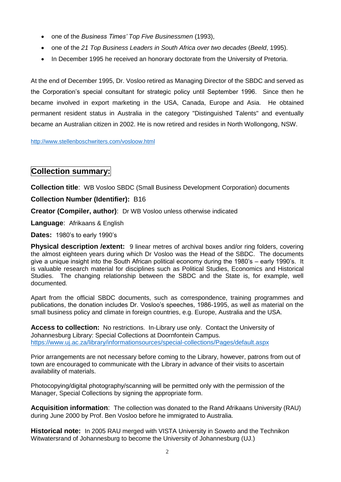- one of the *Business Times' Top Five Businessmen* (1993),
- one of the *21 Top Business Leaders in South Africa over two decades* (*Beeld*, 1995).
- In December 1995 he received an honorary doctorate from the University of Pretoria.

At the end of December 1995, Dr. Vosloo retired as Managing Director of the SBDC and served as the Corporation's special consultant for strategic policy until September 1996. Since then he became involved in export marketing in the USA, Canada, Europe and Asia. He obtained permanent resident status in Australia in the category "Distinguished Talents" and eventually became an Australian citizen in 2002. He is now retired and resides in North Wollongong, NSW.

<http://www.stellenboschwriters.com/vosloow.html>

## **Collection summary:**

**Collection title**: WB Vosloo SBDC (Small Business Development Corporation) documents

#### **Collection Number (Identifier):** B16

**Creator (Compiler, author)**: Dr WB Vosloo unless otherwise indicated

**Language**: Afrikaans & English

**Dates:** 1980's to early 1990's

**Physical description /extent:** 9 linear metres of archival boxes and/or ring folders, covering the almost eighteen years during which Dr Vosloo was the Head of the SBDC. The documents give a unique insight into the South African political economy during the 1980's – early 1990's. It is valuable research material for disciplines such as Political Studies, Economics and Historical Studies. The changing relationship between the SBDC and the State is, for example, well documented.

Apart from the official SBDC documents, such as correspondence, training programmes and publications, the donation includes Dr. Vosloo's speeches, 1986-1995, as well as material on the small business policy and climate in foreign countries, e.g. Europe, Australia and the USA.

**Access to collection:** No restrictions. In-Library use only. Contact the University of Johannesburg Library: Special Collections at Doornfontein Campus. <https://www.uj.ac.za/library/informationsources/special-collections/Pages/default.aspx>

Prior arrangements are not necessary before coming to the Library, however, patrons from out of town are encouraged to communicate with the Library in advance of their visits to ascertain availability of materials.

Photocopying/digital photography/scanning will be permitted only with the permission of the Manager, Special Collections by signing the appropriate form.

**Acquisition information**: The collection was donated to the Rand Afrikaans University (RAU) during June 2000 by Prof. Ben Vosloo before he immigrated to Australia.

**Historical note:** In 2005 RAU merged with VISTA University in Soweto and the Technikon Witwatersrand of Johannesburg to become the University of Johannesburg (UJ.)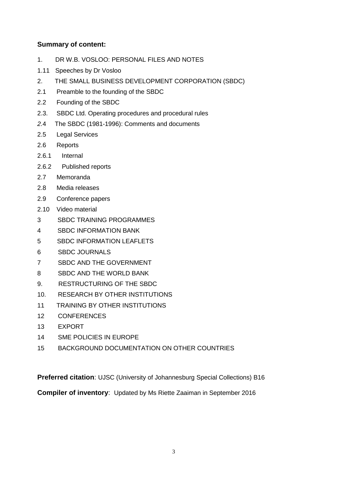#### **Summary of content:**

- 1. DR W.B. VOSLOO: PERSONAL FILES AND NOTES
- 1.11 Speeches by Dr Vosloo
- 2. THE SMALL BUSINESS DEVELOPMENT CORPORATION (SBDC)
- 2.1 Preamble to the founding of the SBDC
- 2.2 Founding of the SBDC
- 2.3. SBDC Ltd. Operating procedures and procedural rules
- *2.*4 The SBDC (1981-1996): Comments and documents
- 2.5 Legal Services
- 2.6 Reports
- 2.6.1 Internal
- 2.6.2 Published reports
- 2.7 Memoranda
- 2.8 Media releases
- 2.9 Conference papers
- 2.10 Video material
- 3 SBDC TRAINING PROGRAMMES
- 4 SBDC INFORMATION BANK
- 5 SBDC INFORMATION LEAFLETS
- 6 SBDC JOURNALS
- 7 SBDC AND THE GOVERNMENT
- 8 SBDC AND THE WORLD BANK
- 9. RESTRUCTURING OF THE SBDC
- 10. RESEARCH BY OTHER INSTITUTIONS
- 11 TRAINING BY OTHER INSTITUTIONS
- 12 CONFERENCES
- 13 EXPORT
- 14 SME POLICIES IN EUROPE
- 15 BACKGROUND DOCUMENTATION ON OTHER COUNTRIES

**Preferred citation**: UJSC (University of Johannesburg Special Collections) B16

**Compiler of inventory**: Updated by Ms Riette Zaaiman in September 2016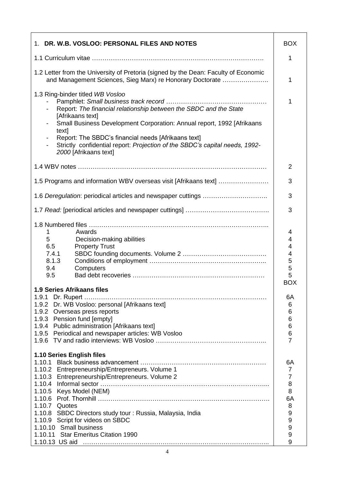| 1. DR. W.B. VOSLOO: PERSONAL FILES AND NOTES                                                                                                                                                                                                                                                                                                                                | <b>BOX</b>                                                                           |
|-----------------------------------------------------------------------------------------------------------------------------------------------------------------------------------------------------------------------------------------------------------------------------------------------------------------------------------------------------------------------------|--------------------------------------------------------------------------------------|
|                                                                                                                                                                                                                                                                                                                                                                             | 1                                                                                    |
| 1.2 Letter from the University of Pretoria (signed by the Dean: Faculty of Economic<br>and Management Sciences, Sieg Marx) re Honorary Doctorate                                                                                                                                                                                                                            | 1                                                                                    |
| 1.3 Ring-binder titled WB Vosloo<br>Report: The financial relationship between the SBDC and the State<br>[Afrikaans text]<br>Small Business Development Corporation: Annual report, 1992 [Afrikaans<br>text]<br>Report: The SBDC's financial needs [Afrikaans text]<br>Strictly confidential report: Projection of the SBDC's capital needs, 1992-<br>2000 [Afrikaans text] | 1                                                                                    |
|                                                                                                                                                                                                                                                                                                                                                                             | $\overline{2}$                                                                       |
| 1.5 Programs and information WBV overseas visit [Afrikaans text]                                                                                                                                                                                                                                                                                                            | 3                                                                                    |
|                                                                                                                                                                                                                                                                                                                                                                             | 3                                                                                    |
|                                                                                                                                                                                                                                                                                                                                                                             | 3                                                                                    |
| Awards<br>1<br>5<br>Decision-making abilities<br>6.5<br><b>Property Trust</b><br>7.4.1<br>8.1.3<br>9.4<br>Computers<br>9.5                                                                                                                                                                                                                                                  | 4<br>4<br>4<br>4<br>5<br>5<br>5<br><b>BOX</b>                                        |
| <b>1.9 Series Afrikaans files</b><br>1.9.2 Dr. WB Vosloo: personal [Afrikaans text]<br>1.9.2 Overseas press reports<br>1.9.3 Pension fund [empty]<br>1.9.4 Public administration [Afrikaans text]<br>1.9.5 Periodical and newspaper articles: WB Vosloo                                                                                                                     | 6A<br>6<br>6<br>6<br>6<br>6<br>$\overline{7}$                                        |
| 1.10 Series English files<br>1.10.2 Entrepreneurship/Entrepreneurs. Volume 1<br>1.10.3 Entrepreneurship/Entrepreneurs. Volume 2<br>1.10.5 Keys Model (NEM)<br>1.10.7 Quotes<br>1.10.8 SBDC Directors study tour: Russia, Malaysia, India<br>1.10.9 Script for videos on SBDC<br>1.10.10 Small business<br>1.10.11 Star Emeritus Citation 1990                               | 6A<br>$\overline{7}$<br>$\overline{7}$<br>8<br>8<br>6A<br>8<br>9<br>9<br>9<br>9<br>9 |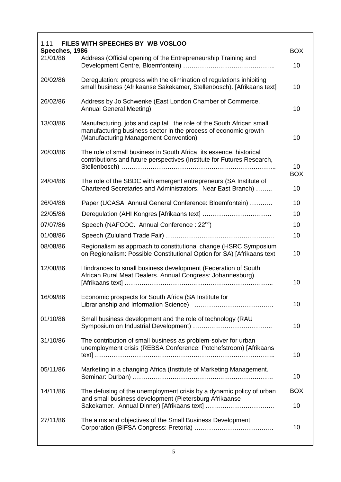| 1.11                       | FILES WITH SPEECHES BY WB VOSLOO                                                                                                                                                 |                  |
|----------------------------|----------------------------------------------------------------------------------------------------------------------------------------------------------------------------------|------------------|
| Speeches, 1986<br>21/01/86 | Address (Official opening of the Entrepreneurship Training and                                                                                                                   | <b>BOX</b>       |
|                            |                                                                                                                                                                                  | 10               |
| 20/02/86                   | Deregulation: progress with the elimination of regulations inhibiting<br>small business (Afrikaanse Sakekamer, Stellenbosch). [Afrikaans text]                                   | 10               |
| 26/02/86                   | Address by Jo Schwenke (East London Chamber of Commerce.<br><b>Annual General Meeting)</b>                                                                                       | 10               |
| 13/03/86                   | Manufacturing, jobs and capital: the role of the South African small<br>manufacturing business sector in the process of economic growth<br>(Manufacturing Management Convention) | 10               |
| 20/03/86                   | The role of small business in South Africa: its essence, historical<br>contributions and future perspectives (Institute for Futures Research,                                    | 10<br><b>BOX</b> |
| 24/04/86                   | The role of the SBDC with emergent entrepreneurs (SA Institute of<br>Chartered Secretaries and Administrators. Near East Branch)                                                 | 10               |
| 26/04/86                   | Paper (UCASA. Annual General Conference: Bloemfontein)                                                                                                                           | 10               |
| 22/05/86                   |                                                                                                                                                                                  | 10               |
| 07/07/86                   | Speech (NAFCOC. Annual Conference: 22 <sup>nd</sup> )                                                                                                                            | 10               |
| 01/08/86                   |                                                                                                                                                                                  | 10               |
| 08/08/86                   | Regionalism as approach to constitutional change (HSRC Symposium<br>on Regionalism: Possible Constitutional Option for SA) [Afrikaans text                                       | 10               |
| 12/08/86                   | Hindrances to small business development (Federation of South<br>African Rural Meat Dealers. Annual Congress: Johannesburg)                                                      | 10               |
| 16/09/86                   | Economic prospects for South Africa (SA Institute for                                                                                                                            |                  |
|                            |                                                                                                                                                                                  | 10               |
| 01/10/86                   | Small business development and the role of technology (RAU                                                                                                                       | 10               |
| 31/10/86                   | The contribution of small business as problem-solver for urban<br>unemployment crisis (REBSA Conference: Potchefstroom) [Afrikaans                                               | 10               |
| 05/11/86                   | Marketing in a changing Africa (Institute of Marketing Management.                                                                                                               | 10               |
| 14/11/86                   | The defusing of the unemployment crisis by a dynamic policy of urban<br>and small business development (Pietersburg Afrikaanse                                                   | <b>BOX</b><br>10 |
| 27/11/86                   | The aims and objectives of the Small Business Development                                                                                                                        | 10               |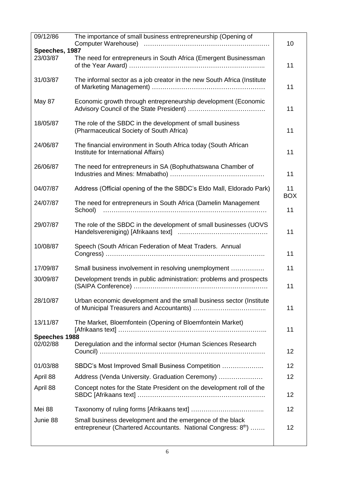| 09/12/86                  | The importance of small business entrepreneurship (Opening of                                                             | 10               |
|---------------------------|---------------------------------------------------------------------------------------------------------------------------|------------------|
| Speeches, 1987            |                                                                                                                           |                  |
| 23/03/87                  | The need for entrepreneurs in South Africa (Emergent Businessman                                                          | 11               |
| 31/03/87                  | The informal sector as a job creator in the new South Africa (Institute                                                   | 11               |
| May 87                    | Economic growth through entrepreneurship development (Economic                                                            | 11               |
| 18/05/87                  | The role of the SBDC in the development of small business<br>(Pharmaceutical Society of South Africa)                     | 11               |
| 24/06/87                  | The financial environment in South Africa today (South African<br>Institute for International Affairs)                    | 11               |
| 26/06/87                  | The need for entrepreneurs in SA (Bophuthatswana Chamber of                                                               | 11               |
| 04/07/87                  | Address (Official opening of the the SBDC's Eldo Mall, Eldorado Park)                                                     | 11<br><b>BOX</b> |
| 24/07/87                  | The need for entrepreneurs in South Africa (Damelin Management<br>School)                                                 | 11               |
| 29/07/87                  | The role of the SBDC in the development of small businesses (UOVS                                                         | 11               |
| 10/08/87                  | Speech (South African Federation of Meat Traders. Annual                                                                  | 11               |
| 17/09/87                  | Small business involvement in resolving unemployment                                                                      | 11               |
| 30/09/87                  | Development trends in public administration: problems and prospects                                                       | 11               |
| 28/10/87                  | Urban economic development and the small business sector (Institute                                                       | 11               |
| 13/11/87<br>Speeches 1988 | The Market, Bloemfontein (Opening of Bloemfontein Market)                                                                 | 11               |
| 02/02/88                  | Deregulation and the informal sector (Human Sciences Research                                                             | 12               |
| 01/03/88                  | SBDC's Most Improved Small Business Competition                                                                           | 12               |
| April 88                  | Address (Venda University. Graduation Ceremony)                                                                           | 12               |
| April 88                  | Concept notes for the State President on the development roll of the                                                      | 12               |
| Mei 88                    |                                                                                                                           | 12               |
| Junie 88                  | Small business development and the emergence of the black<br>entrepreneur (Chartered Accountants. National Congress: 8th) | 12               |
|                           |                                                                                                                           |                  |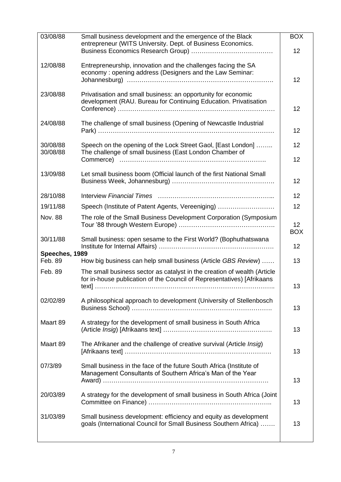| 03/08/88                  | Small business development and the emergence of the Black<br>entrepreneur (WITS University. Dept. of Business Economics.                           | <b>BOX</b>                    |
|---------------------------|----------------------------------------------------------------------------------------------------------------------------------------------------|-------------------------------|
|                           |                                                                                                                                                    | 12                            |
| 12/08/88                  | Entrepreneurship, innovation and the challenges facing the SA<br>economy: opening address (Designers and the Law Seminar:                          | 12                            |
| 23/08/88                  | Privatisation and small business: an opportunity for economic<br>development (RAU. Bureau for Continuing Education. Privatisation                  | 12                            |
| 24/08/88                  | The challenge of small business (Opening of Newcastle Industrial                                                                                   | 12                            |
| 30/08/88<br>30/08/88      | Speech on the opening of the Lock Street Gaol, [East London]<br>The challenge of small business (East London Chamber of                            | 12                            |
|                           |                                                                                                                                                    | 12                            |
| 13/09/88                  | Let small business boom (Official launch of the first National Small                                                                               | 12                            |
| 28/10/88                  |                                                                                                                                                    | 12                            |
| 19/11/88                  | Speech (Institute of Patent Agents, Vereeniging)                                                                                                   | 12                            |
| <b>Nov. 88</b>            | The role of the Small Business Development Corporation (Symposium                                                                                  | 12 <sub>2</sub><br><b>BOX</b> |
| 30/11/88                  | Small business: open sesame to the First World? (Bophuthatswana                                                                                    | 12                            |
| Speeches, 1989<br>Feb. 89 | How big business can help small business (Article GBS Review)                                                                                      | 13                            |
| Feb. 89                   | The small business sector as catalyst in the creation of wealth (Article<br>for in-house publication of the Council of Representatives) [Afrikaans |                               |
|                           |                                                                                                                                                    | 13                            |
| 02/02/89                  | A philosophical approach to development (University of Stellenbosch                                                                                | 13                            |
| Maart 89                  | A strategy for the development of small business in South Africa                                                                                   | 13                            |
| Maart 89                  | The Afrikaner and the challenge of creative survival (Article Insig)                                                                               | 13                            |
| 07/3/89                   | Small business in the face of the future South Africa (Institute of<br>Management Consultants of Southern Africa's Man of the Year                 | 13                            |
| 20/03/89                  | A strategy for the development of small business in South Africa (Joint                                                                            | 13                            |
| 31/03/89                  | Small business development: efficiency and equity as development<br>goals (International Council for Small Business Southern Africa)               | 13                            |
|                           |                                                                                                                                                    |                               |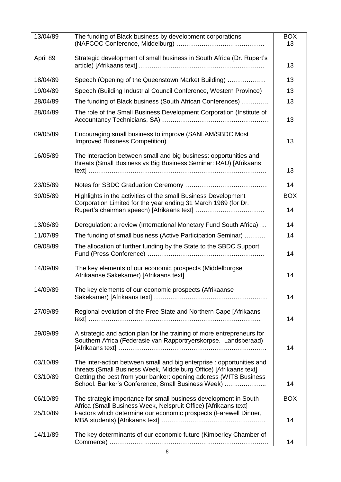| 13/04/89 | The funding of Black business by development corporations                                                                                                                                   | <b>BOX</b><br>13 |
|----------|---------------------------------------------------------------------------------------------------------------------------------------------------------------------------------------------|------------------|
| April 89 | Strategic development of small business in South Africa (Dr. Rupert's                                                                                                                       | 13               |
| 18/04/89 | Speech (Opening of the Queenstown Market Building)                                                                                                                                          | 13               |
| 19/04/89 | Speech (Building Industrial Council Conference, Western Province)                                                                                                                           | 13               |
| 28/04/89 | The funding of Black business (South African Conferences)                                                                                                                                   | 13               |
| 28/04/89 | The role of the Small Business Development Corporation (Institute of                                                                                                                        | 13               |
| 09/05/89 | Encouraging small business to improve (SANLAM/SBDC Most                                                                                                                                     | 13               |
| 16/05/89 | The interaction between small and big business: opportunities and<br>threats (Small Business vs Big Business Seminar: RAU) [Afrikaans                                                       | 13               |
| 23/05/89 |                                                                                                                                                                                             | 14               |
| 30/05/89 | Highlights in the activities of the small Business Development                                                                                                                              | <b>BOX</b>       |
|          | Corporation Limited for the year ending 31 March 1989 (for Dr.                                                                                                                              | 14               |
| 13/06/89 | Deregulation: a review (International Monetary Fund South Africa)                                                                                                                           | 14               |
| 11/07/89 | The funding of small business (Active Participation Seminar)                                                                                                                                | 14               |
| 09/08/89 | The allocation of further funding by the State to the SBDC Support                                                                                                                          | 14               |
| 14/09/89 | The key elements of our economic prospects (Middelburgse                                                                                                                                    | 14               |
| 14/09/89 | The key elements of our economic prospects (Afrikaanse                                                                                                                                      | 14               |
| 27/09/89 | Regional evolution of the Free State and Northern Cape [Afrikaans                                                                                                                           | 14               |
| 29/09/89 | A strategic and action plan for the training of more entrepreneurs for<br>Southern Africa (Federasie van Rapportryerskorpse. Landsberaad)                                                   | 14               |
| 03/10/89 | The inter-action between small and big enterprise : opportunities and                                                                                                                       |                  |
| 03/10/89 | threats (Small Business Week, Middelburg Office) [Afrikaans text]<br>Getting the best from your banker: opening address (WITS Business<br>School. Banker's Conference, Small Business Week) | 14               |
| 06/10/89 | The strategic importance for small business development in South                                                                                                                            | <b>BOX</b>       |
| 25/10/89 | Africa (Small Business Week, Nelspruit Office) [Afrikaans text]<br>Factors which determine our economic prospects (Farewell Dinner,                                                         | 14               |
| 14/11/89 | The key determinants of our economic future (Kimberley Chamber of                                                                                                                           |                  |
|          |                                                                                                                                                                                             | 14               |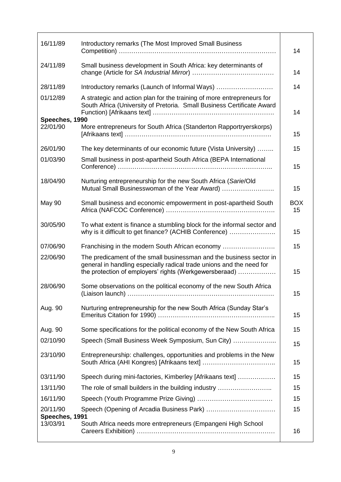| 16/11/89                   | Introductory remarks (The Most Improved Small Business                                                                                                                                                | 14               |
|----------------------------|-------------------------------------------------------------------------------------------------------------------------------------------------------------------------------------------------------|------------------|
| 24/11/89                   | Small business development in South Africa: key determinants of                                                                                                                                       | 14               |
| 28/11/89                   | Introductory remarks (Launch of Informal Ways)                                                                                                                                                        | 14               |
| 01/12/89                   | A strategic and action plan for the training of more entrepreneurs for<br>South Africa (University of Pretoria. Small Business Certificate Award                                                      | 14               |
| Speeches, 1990             |                                                                                                                                                                                                       |                  |
| 22/01/90                   | More entrepreneurs for South Africa (Standerton Rapportryerskorps)                                                                                                                                    | 15               |
| 26/01/90                   | The key determinants of our economic future (Vista University)                                                                                                                                        | 15               |
| 01/03/90                   | Small business in post-apartheid South Africa (BEPA International                                                                                                                                     | 15               |
| 18/04/90                   | Nurturing entrepreneurship for the new South Africa (Sarie/Old<br>Mutual Small Businesswoman of the Year Award)                                                                                       | 15               |
| <b>May 90</b>              | Small business and economic empowerment in post-apartheid South                                                                                                                                       | <b>BOX</b><br>15 |
| 30/05/90                   | To what extent is finance a stumbling block for the informal sector and<br>why is it difficult to get finance? (ACHIB Conference)                                                                     | 15               |
| 07/06/90                   | Franchising in the modern South African economy                                                                                                                                                       | 15               |
| 22/06/90                   | The predicament of the small businessman and the business sector in<br>general in handling especially radical trade unions and the need for<br>the protection of employers' rights (Werkgewersberaad) | 15               |
| 28/06/90                   | Some observations on the political economy of the new South Africa                                                                                                                                    | 15               |
| Aug. 90                    | Nurturing entrepreneurship for the new South Africa (Sunday Star's                                                                                                                                    | 15               |
| Aug. 90                    | Some specifications for the political economy of the New South Africa                                                                                                                                 | 15               |
| 02/10/90                   | Speech (Small Business Week Symposium, Sun City)                                                                                                                                                      | 15               |
| 23/10/90                   | Entrepreneurship: challenges, opportunities and problems in the New                                                                                                                                   | 15               |
| 03/11/90                   | Speech during mini-factories, Kimberley [Afrikaans text]                                                                                                                                              | 15               |
| 13/11/90                   | The role of small builders in the building industry                                                                                                                                                   | 15               |
| 16/11/90                   |                                                                                                                                                                                                       | 15               |
| 20/11/90<br>Speeches, 1991 |                                                                                                                                                                                                       | 15               |
| 13/03/91                   | South Africa needs more entrepreneurs (Empangeni High School                                                                                                                                          | 16               |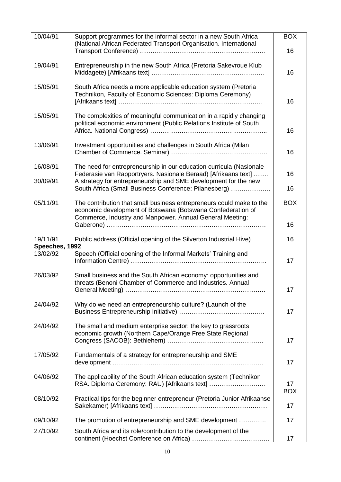| 10/04/91                   | Support programmes for the informal sector in a new South Africa<br>(National African Federated Transport Organisation. International     | <b>BOX</b><br>16 |
|----------------------------|-------------------------------------------------------------------------------------------------------------------------------------------|------------------|
| 19/04/91                   | Entrepreneurship in the new South Africa (Pretoria Sakevroue Klub                                                                         |                  |
|                            |                                                                                                                                           | 16               |
| 15/05/91                   | South Africa needs a more applicable education system (Pretoria<br>Technikon, Faculty of Economic Sciences: Diploma Ceremony)             | 16               |
| 15/05/91                   | The complexities of meaningful communication in a rapidly changing<br>political economic environment (Public Relations Institute of South | 16               |
| 13/06/91                   | Investment opportunities and challenges in South Africa (Milan                                                                            | 16               |
| 16/08/91                   | The need for entrepreneurship in our education curricula (Nasionale<br>Federasie van Rapportryers. Nasionale Beraad) [Afrikaans text]     | 16               |
| 30/09/91                   | A strategy for entrepreneurship and SME development for the new<br>South Africa (Small Business Conference: Pilanesberg)                  | 16               |
| 05/11/91                   | The contribution that small business entrepreneurs could make to the<br>economic development of Botswana (Botswana Confederation of       | <b>BOX</b>       |
|                            | Commerce, Industry and Manpower. Annual General Meeting:                                                                                  | 16               |
| 19/11/91<br>Speeches, 1992 | Public address (Official opening of the Silverton Industrial Hive)                                                                        | 16               |
| 13/02/92                   | Speech (Official opening of the Informal Markets' Training and                                                                            | 17               |
| 26/03/92                   | Small business and the South African economy: opportunities and<br>threats (Benoni Chamber of Commerce and Industries. Annual             | 17               |
| 24/04/92                   | Why do we need an entrepreneurship culture? (Launch of the                                                                                | 17               |
| 24/04/92                   | The small and medium enterprise sector: the key to grassroots<br>economic growth (Northern Cape/Orange Free State Regional                | 17               |
| 17/05/92                   | Fundamentals of a strategy for entrepreneurship and SME                                                                                   | 17               |
| 04/06/92                   | The applicability of the South African education system (Technikon<br>RSA. Diploma Ceremony: RAU) [Afrikaans text]                        | 17<br><b>BOX</b> |
| 08/10/92                   | Practical tips for the beginner entrepreneur (Pretoria Junior Afrikaanse                                                                  | 17               |
| 09/10/92                   | The promotion of entrepreneurship and SME development                                                                                     | 17               |
| 27/10/92                   | South Africa and its role/contribution to the development of the                                                                          | 17               |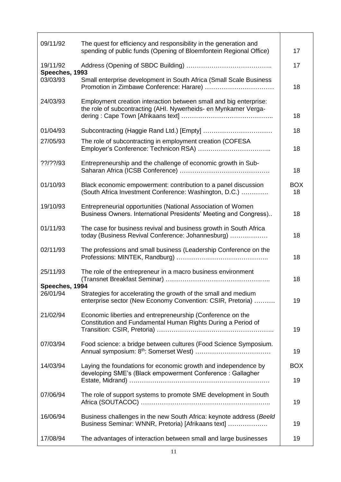| 09/11/92                   | The quest for efficiency and responsibility in the generation and<br>spending of public funds (Opening of Bloemfontein Regional Office) | 17               |
|----------------------------|-----------------------------------------------------------------------------------------------------------------------------------------|------------------|
| 19/11/92                   |                                                                                                                                         | 17               |
| Speeches, 1993<br>03/03/93 | Small enterprise development in South Africa (Small Scale Business                                                                      | 18               |
| 24/03/93                   | Employment creation interaction between small and big enterprise:<br>the role of subcontracting (AHI. Nywerheids- en Mynkamer Verga-    | 18               |
| 01/04/93                   |                                                                                                                                         | 18               |
| 27/05/93                   | The role of subcontracting in employment creation (COFESA                                                                               | 18               |
| ??/??/93                   | Entrepreneurship and the challenge of economic growth in Sub-                                                                           | 18               |
| 01/10/93                   | Black economic empowerment: contribution to a panel discussion<br>(South Africa Investment Conference: Washington, D.C.)                | <b>BOX</b><br>18 |
| 19/10/93                   | Entrepreneurial opportunities (National Association of Women<br>Business Owners. International Presidents' Meeting and Congress)        | 18               |
| 01/11/93                   | The case for business revival and business growth in South Africa<br>today (Business Revival Conference: Johannesburg)                  | 18               |
| 02/11/93                   | The professions and small business (Leadership Conference on the                                                                        | 18               |
| 25/11/93                   | The role of the entrepreneur in a macro business environment                                                                            | 18               |
| Speeches, 1994<br>26/01/94 | Strategies for accelerating the growth of the small and medium<br>enterprise sector (New Economy Convention: CSIR, Pretoria)            | 19               |
| 21/02/94                   | Economic liberties and entrepreneurship (Conference on the<br>Constitution and Fundamental Human Rights During a Period of              | 19               |
| 07/03/94                   | Food science: a bridge between cultures (Food Science Symposium.                                                                        | 19               |
| 14/03/94                   | Laying the foundations for economic growth and independence by<br>developing SME's (Black empowerment Conference: Gallagher             | <b>BOX</b>       |
|                            |                                                                                                                                         | 19               |
| 07/06/94                   | The role of support systems to promote SME development in South                                                                         | 19               |
| 16/06/94                   | Business challenges in the new South Africa: keynote address (Beeld<br>Business Seminar: WNNR, Pretoria) [Afrikaans text]               | 19               |
| 17/08/94                   | The advantages of interaction between small and large businesses                                                                        | 19               |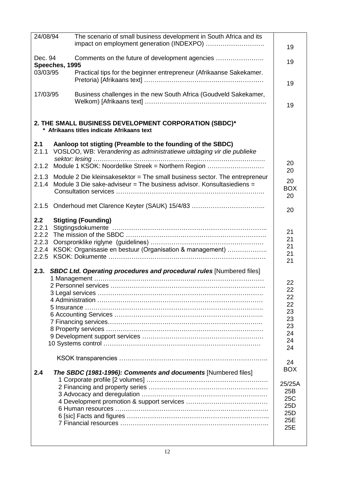| 24/08/94 |                | The scenario of small business development in South Africa and its         |            |
|----------|----------------|----------------------------------------------------------------------------|------------|
|          |                | impact on employment generation (INDEXPO)                                  |            |
|          |                |                                                                            | 19         |
|          |                |                                                                            |            |
| Dec. 94  |                | Comments on the future of development agencies                             | 19         |
|          | Speeches, 1995 |                                                                            |            |
| 03/03/95 |                | Practical tips for the beginner entrepreneur (Afrikaanse Sakekamer.        |            |
|          |                |                                                                            |            |
|          |                |                                                                            | 19         |
| 17/03/95 |                | Business challenges in the new South Africa (Goudveld Sakekamer,           |            |
|          |                |                                                                            |            |
|          |                |                                                                            | 19         |
|          |                |                                                                            |            |
|          |                |                                                                            |            |
|          |                | 2. THE SMALL BUSINESS DEVELOPMENT CORPORATION (SBDC)*                      |            |
|          |                | * Afrikaans titles indicate Afrikaans text                                 |            |
|          |                |                                                                            |            |
| 2.1      |                | Aanloop tot stigting (Preamble to the founding of the SBDC)                |            |
|          |                |                                                                            |            |
| 2.1.1    |                | VOSLOO, WB: Verandering as administratiewe uitdaging vir die publieke      |            |
|          |                |                                                                            | 20         |
| 2.1.2    |                | Module 1 KSOK: Noordelike Streek = Northern Region                         |            |
|          |                |                                                                            | 20         |
| 2.1.3    |                | Module 2 Die kleinsakesektor = The small business sector. The entrepreneur | 20         |
| 2.1.4    |                | Module 3 Die sake-adviseur = The business advisor. Konsultasiediens =      |            |
|          |                |                                                                            | <b>BOX</b> |
|          |                |                                                                            | 20         |
|          |                |                                                                            |            |
|          |                |                                                                            | 20         |
|          |                |                                                                            |            |
| 2.2      |                | <b>Stigting (Founding)</b>                                                 |            |
| 2.2.1    |                |                                                                            | 21         |
| 2.2.2    |                |                                                                            |            |
| 2.2.3    |                |                                                                            | 21         |
| 2.2.4    |                | KSOK: Organisasie en bestuur (Organisation & management)                   | 21         |
| 2.2.5    |                |                                                                            | 21         |
|          |                |                                                                            | 21         |
|          |                |                                                                            |            |
|          |                | 2.3. SBDC Ltd. Operating procedures and procedural rules [Numbered files]  |            |
|          |                |                                                                            |            |
|          |                | 2 Personnel services                                                       | 22         |
|          |                |                                                                            | 22         |
|          |                |                                                                            | 22         |
|          |                |                                                                            | 22         |
|          |                |                                                                            | 23         |
|          |                |                                                                            | 23         |
|          |                |                                                                            | 23         |
|          |                |                                                                            |            |
|          |                |                                                                            | 24         |
|          |                |                                                                            | 24         |
|          |                |                                                                            | 24         |
|          |                |                                                                            |            |
|          |                |                                                                            | 24         |
|          |                |                                                                            | <b>BOX</b> |
| 2.4      |                | The SBDC (1981-1996): Comments and documents [Numbered files]              |            |
|          |                |                                                                            |            |
|          |                |                                                                            | 25/25A     |
|          |                |                                                                            | 25B        |
|          |                |                                                                            | 25C        |
|          |                |                                                                            | 25D        |
|          |                |                                                                            | 25D        |
|          |                |                                                                            | 25E        |
|          |                |                                                                            |            |
|          |                |                                                                            | 25E        |
|          |                |                                                                            |            |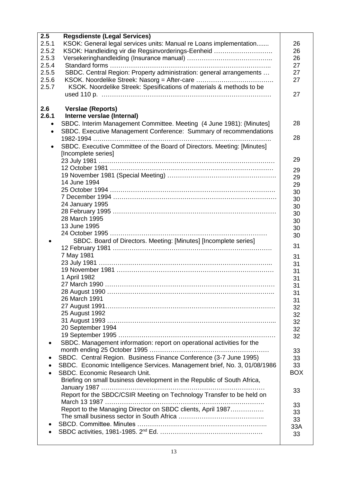| 2.5       | <b>Regsdienste (Legal Services)</b>                                       |            |
|-----------|---------------------------------------------------------------------------|------------|
| 2.5.1     | KSOK: General legal services units: Manual re Loans implementation        | 26         |
| 2.5.2     | KSOK: Handleiding vir die Regsinvorderings-Eenheid                        | 26         |
| 2.5.3     |                                                                           | 26         |
| 2.5.4     |                                                                           | 27         |
| 2.5.5     | SBDC. Central Region: Property administration: general arrangements       | 27         |
| 2.5.6     | KSOK. Noordelike Streek: Nasorg = After-care                              | 27         |
| 2.5.7     | KSOK. Noordelike Streek: Spesifications of materials & methods to be      |            |
|           |                                                                           | 27         |
|           |                                                                           |            |
| 2.6       | <b>Verslae (Reports)</b>                                                  |            |
| 2.6.1     | Interne verslae (Internal)                                                |            |
| $\bullet$ | SBDC. Interim Management Committee. Meeting (4 June 1981): {Minutes]      | 28         |
| $\bullet$ | SBDC. Executive Management Conference: Summary of recommendations         |            |
|           |                                                                           | 28         |
| $\bullet$ | SBDC. Executive Committee of the Board of Directors. Meeting: [Minutes]   |            |
|           | [Incomplete series]                                                       |            |
|           |                                                                           | 29         |
|           |                                                                           |            |
|           |                                                                           | 29         |
|           | 14 June 1994                                                              | 29         |
|           |                                                                           | 29         |
|           |                                                                           | 30         |
|           | 24 January 1995                                                           | 30         |
|           |                                                                           | 30         |
|           | 28 March 1995                                                             | 30         |
|           | 13 June 1995                                                              | 30         |
|           |                                                                           | 30         |
| $\bullet$ | SBDC. Board of Directors. Meeting: [Minutes] [Incomplete series]          | 30         |
|           |                                                                           | 31         |
|           | 7 May 1981                                                                | 31         |
|           |                                                                           | 31         |
|           |                                                                           | 31         |
|           | 1 April 1982                                                              | 31         |
|           |                                                                           | 31         |
|           |                                                                           | 31         |
|           | 26 March 1991                                                             | 31         |
|           |                                                                           | 32         |
|           | 25 August 1992                                                            | 32         |
|           |                                                                           | 32         |
|           | 20 September 1994                                                         | 32         |
|           |                                                                           | 32         |
| $\bullet$ | SBDC. Management information: report on operational activities for the    |            |
|           |                                                                           | 33         |
| ٠         | SBDC. Central Region. Business Finance Conference (3-7 June 1995)         | 33         |
| $\bullet$ | SBDC. Economic Intelligence Services. Management brief, No. 3, 01/08/1986 | 33         |
| $\bullet$ | SBDC. Economic Research Unit.                                             | <b>BOX</b> |
|           | Briefing on small business development in the Republic of South Africa,   |            |
|           |                                                                           |            |
|           | Report for the SBDC/CSIR Meeting on Technology Transfer to be held on     | 33         |
|           |                                                                           |            |
|           | Report to the Managing Director on SBDC clients, April 1987               | 33         |
|           |                                                                           | 33         |
|           |                                                                           | 33         |
|           |                                                                           | 33A        |
|           |                                                                           | 33         |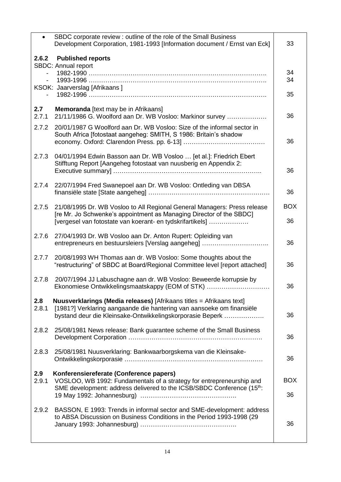| $\bullet$    | SBDC corporate review : outline of the role of the Small Business<br>Development Corporation, 1981-1993 [Information document / Ernst van Eck]                                                               | 33               |
|--------------|--------------------------------------------------------------------------------------------------------------------------------------------------------------------------------------------------------------|------------------|
|              | 2.6.2 Published reports<br>SBDC: Annual report<br>KSOK: Jaarverslag [Afrikaans]                                                                                                                              | 34<br>34         |
|              |                                                                                                                                                                                                              | 35               |
| 2.7<br>2.7.1 | Memoranda [text may be in Afrikaans]<br>21/11/1986 G. Woolford aan Dr. WB Vosloo: Markinor survey                                                                                                            | 36               |
| 2.7.2        | 20/01/1987 G Woolford aan Dr. WB Vosloo: Size of the informal sector in<br>South Africa [fotostaat aangeheg: SMITH, S 1986: Britain's shadow                                                                 | 36               |
| 2.7.3        | 04/01/1994 Edwin Basson aan Dr. WB Vosloo  [et al.]: Friedrich Ebert<br>Stifftung Report [Aangeheg fotostaat van nuusberig en Appendix 2:                                                                    | 36               |
| 2.7.4        | 22/07/1994 Fred Swanepoel aan Dr. WB Vosloo: Ontleding van DBSA                                                                                                                                              | 36               |
| 2.7.5        | 21/08/1995 Dr. WB Vosloo to All Regional General Managers: Press release<br>[re Mr. Jo Schwenke's appointment as Managing Director of the SBDC]<br>[vergesel van fotostate van koerant- en tydskrifartikels] | <b>BOX</b><br>36 |
| 2.7.6        | 27/04/1993 Dr. WB Vosloo aan Dr. Anton Rupert: Opleiding van<br>entrepreneurs en bestuursleiers [Verslag aangeheg]                                                                                           | 36               |
| 2.7.7        | 20/08/1993 WH Thomas aan dr. WB Vosloo: Some thoughts about the<br>"restructuring" of SBDC at Board/Regional Committee level [report attached]                                                               | 36               |
| 2.7.8        | 20/07/1994 JJ Labuschagne aan dr. WB Vosloo: Beweerde korrupsie by<br>Ekonomiese Ontwikkelingsmaatskappy (EOM of STK)                                                                                        | 36               |
| 2.8<br>2.8.1 | Nuusverklarings (Media releases) [Afrikaans titles = Afrikaans text]<br>[1981?] Verklaring aangaande die hantering van aansoeke om finansiële<br>bystand deur die Kleinsake-Ontwikkelingskorporasie Beperk   | 36               |
| 2.8.2        | 25/08/1981 News release: Bank guarantee scheme of the Small Business                                                                                                                                         | 36               |
| 2.8.3        | 25/08/1981 Nuusverklaring: Bankwaarborgskema van die Kleinsake-                                                                                                                                              | 36               |
| 2.9<br>2.9.1 | Konferensiereferate (Conference papers)<br>VOSLOO, WB 1992: Fundamentals of a strategy for entrepreneurship and<br>SME development: address delivered to the ICSB/SBDC Conference (15th:                     | <b>BOX</b><br>36 |
| 2.9.2        | BASSON, E 1993: Trends in informal sector and SME-development: address<br>to ABSA Discussion on Business Conditions in the Period 1993-1998 (29                                                              | 36               |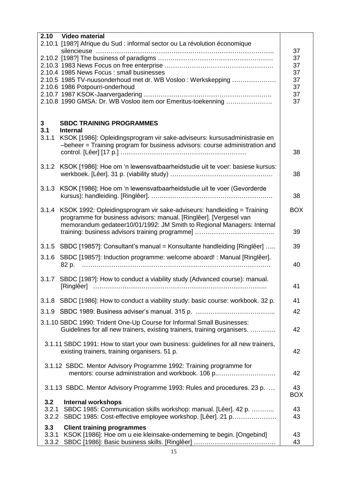|       | 2.10 Video material                                                                                                                                      |            |
|-------|----------------------------------------------------------------------------------------------------------------------------------------------------------|------------|
|       | 2.10.1 [198?] Afrique du Sud : informal sector ou La révolution économique                                                                               |            |
|       |                                                                                                                                                          | 37         |
|       |                                                                                                                                                          | 37         |
|       |                                                                                                                                                          | 37         |
|       | 2.10.4 1985 News Focus: small businesses                                                                                                                 | 37         |
|       | 2.10.5 1985 TV-nuusonderhoud met dr. WB Vosloo: Werkskepping                                                                                             | 37         |
|       | 2.10.6 1986 Potpourri-onderhoud                                                                                                                          | 37         |
|       |                                                                                                                                                          | 37         |
|       | 2.10.8 1990 GMSA: Dr. WB Vosloo item oor Emeritus-toekenning                                                                                             | 37         |
|       |                                                                                                                                                          |            |
| 3     | <b>SBDC TRAINING PROGRAMMES</b>                                                                                                                          |            |
| 3.1   | <b>Internal</b>                                                                                                                                          |            |
| 3.1.1 | KSOK [1986]: Opleidingsprogram vir sake-adviseurs: kursusadministrasie en<br>-beheer = Training program for business advisors: course administration and |            |
|       |                                                                                                                                                          | 38         |
|       |                                                                                                                                                          |            |
| 3.1.2 | KSOK [1986]: Hoe om 'n lewensvatbaarheidstudie uit te voer: basiese kursus:                                                                              |            |
|       |                                                                                                                                                          | 38         |
|       |                                                                                                                                                          |            |
|       | 3.1.3 KSOK [1986]: Hoe om 'n lewensvatbaarheidstudie uit te voer (Gevorderde                                                                             |            |
|       |                                                                                                                                                          | 38         |
|       |                                                                                                                                                          |            |
|       | 3.1.4 KSOK 1992: Opleidingsprogram vir sake-adviseurs: handleiding = Training                                                                            | <b>BOX</b> |
|       | programme for business advisors: manual. [Ringlêer]. [Vergesel van                                                                                       |            |
|       | memorandum gedateer10/01/1992: JM Smith to Regional Managers: Internal                                                                                   |            |
|       |                                                                                                                                                          | 39         |
|       |                                                                                                                                                          |            |
| 3.1.5 | SBDC [1985?]: Consultant's manual = Konsultante handleiding [Ringlêer]                                                                                   | 39         |
| 3.1.6 | SBDC [1985?]: Induction programme: welcome aboard! : Manual [Ringlêer].                                                                                  |            |
|       | 82 p.                                                                                                                                                    | 40         |
|       |                                                                                                                                                          |            |
|       | 3.1.7 SBDC [198?]: How to conduct a viability study (Advanced course): manual.                                                                           |            |
|       |                                                                                                                                                          | 41         |
|       |                                                                                                                                                          |            |
|       | 3.1.8 SBDC [1986]: How to conduct a viability study: basic course: workbook. 32 p.                                                                       | 41         |
|       |                                                                                                                                                          | 42         |
|       | 3.1.10 SBDC 1990: Trident One-Up Course for Informal Small Businesses:                                                                                   |            |
|       | Guidelines for all new trainers, existing trainers, training organisers.                                                                                 | 42         |
|       |                                                                                                                                                          |            |
|       | 3.1.11 SBDC 1991: How to start your own business: guidelines for all new trainers,                                                                       |            |
|       | existing trainers, training organisers. 51 p.                                                                                                            | 42         |
|       |                                                                                                                                                          |            |
|       | 3.1.12 SBDC. Mentor Advisory Programme 1992: Training programme for                                                                                      |            |
|       | mentors: course administration and workbook. 106 p                                                                                                       | 42         |
|       |                                                                                                                                                          |            |
|       | 3.1.13 SBDC. Mentor Advisory Programme 1993: Rules and procedures. 23 p.                                                                                 | 43         |
|       |                                                                                                                                                          | <b>BOX</b> |
| 3.2   | <b>Internal workshops</b>                                                                                                                                |            |
| 3.2.1 | SBDC 1985: Communication skills workshop: manual. [Lêer]. 42 p.                                                                                          | 43         |
| 3.2.2 | SBDC 1985: Cost-effective employee workshop. [Lêer]. 21 p                                                                                                | 43         |
| 3.3   | <b>Client training programmes</b>                                                                                                                        |            |
| 3.3.1 | KSOK [1986]: Hoe om u eie kleinsake-onderneming te begin. [Ongebind]                                                                                     | 43         |
|       |                                                                                                                                                          | 43         |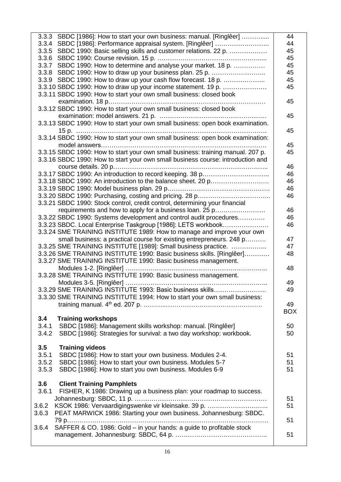| 3.3.3 SBDC [1986]: How to start your own business: manual. [Ringlêer]           | 44         |
|---------------------------------------------------------------------------------|------------|
| 3.3.4 SBDC [1986]: Performance appraisal system. [Ringlêer]                     | 44         |
| 3.3.5 SBDC 1990: Basic selling skills and customer relations. 22 p.             | 45         |
|                                                                                 | 45         |
| 3.3.7 SBDC 1990: How to determine and analyse your market. 18 p.                | 45         |
| 3.3.8 SBDC 1990: How to draw up your business plan. 25 p.                       | 45         |
| 3.3.9 SBDC 1990: How to draw up your cash flow forecast. 18 p.                  | 45         |
| 3.3.10 SBDC 1990: How to draw up your income statement. 19 p.                   | 45         |
| 3.3.11 SBDC 1990: How to start your own small business: closed book             |            |
|                                                                                 | 45         |
| 3.3.12 SBDC 1990: How to start your own small business: closed book             |            |
|                                                                                 | 45         |
| 3.3.13 SBDC 1990: How to start your own small business: open book examination.  |            |
|                                                                                 | 45         |
| 3.3.14 SBDC 1990: How to start your own small business: open book examination:  |            |
|                                                                                 | 45         |
| 3.3.15 SBDC 1990: How to start your own small business: training manual. 207 p. | 45         |
| 3.3.16 SBDC 1990: How to start your own small business course: introduction and |            |
|                                                                                 | 46         |
|                                                                                 | 46         |
|                                                                                 |            |
| 3.3.18 SBDC 1990: An introduction to the balance sheet. 20 p                    | 46         |
|                                                                                 | 46         |
|                                                                                 | 46         |
| 3.3.21 SBDC 1990: Stock control, credit control, determining your financial     |            |
| requirements and how to apply for a business loan. 25 p                         | 46         |
| 3.3.22 SBDC 1990: Systems development and control audit procedures              | 46         |
| 3.3.23 SBDC. Local Enterprise Taskgroup [1986]: LETS workbook                   | 46         |
| 3.3.24 SME TRAINING INSTITUTE 1989: How to manage and improve your own          |            |
| small business: a practical course for existing entrepreneurs. 248 p            | 47         |
| 3.3.25 SME TRAINING INSTITUTE [1989]: Small business practice.                  | 47         |
| 3.3.26 SME TRAINING INSTITUTE 1990: Basic business skills. [Ringlêer]           | 48         |
| 3.3.27 SME TRAINING INSTITUTE 1990: Basic business management.                  |            |
|                                                                                 | 48         |
| 3.3.28 SME TRAINING INSTITUTE 1990: Basic business management.                  |            |
|                                                                                 | 49         |
| 3.3.29 SME TRAINING INSTITUTE 1993: Basic business skills                       | 49         |
| 3.3.30 SME TRAINING INSTITUTE 1994: How to start your own small business:       |            |
|                                                                                 | 49         |
|                                                                                 | <b>BOX</b> |
| 3.4<br><b>Training workshops</b>                                                |            |
| SBDC [1986]: Management skills workshop: manual. [Ringlêer]<br>3.4.1            | 50         |
| SBDC [1986]: Strategies for survival: a two day workshop: workbook.<br>3.4.2    | 50         |
|                                                                                 |            |
| 3.5<br><b>Training videos</b>                                                   |            |
| SBDC [1986]: How to start your own business. Modules 2-4.<br>3.5.1              | 51         |
| SBDC [1986]: How to start your own business. Modules 5-7<br>3.5.2               | 51         |
| SBDC [1986]: How to start you own business. Modules 6-9<br>3.5.3                | 51         |
|                                                                                 |            |
| 3.6<br><b>Client Training Pamphlets</b>                                         |            |
| 3.6.1<br>FISHER, K 1986: Drawing up a business plan: your roadmap to success.   |            |
|                                                                                 | 51         |
| KSOK 1986: Vervaardigingswenke vir kleinsake. 39 p.<br>3.6.2                    | 51         |
| PEAT MARWICK 1986: Starting your own business. Johannesburg: SBDC.<br>3.6.3     |            |
|                                                                                 | 51         |
| SAFFER & CO. 1986: Gold - in your hands: a guide to profitable stock<br>3.6.4   |            |
|                                                                                 | 51         |
|                                                                                 |            |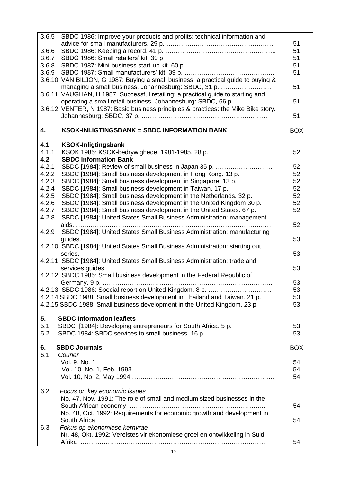| 3.6.5 | SBDC 1986: Improve your products and profits: technical information and            |            |
|-------|------------------------------------------------------------------------------------|------------|
|       |                                                                                    | 51         |
| 3.6.6 |                                                                                    | 51         |
| 3.6.7 | SBDC 1986: Small retailers' kit. 39 p.                                             | 51         |
|       | 3.6.8 SBDC 1987: Mini-business start-up kit. 60 p.                                 | 51         |
|       |                                                                                    | 51         |
|       | 3.6.10 VAN BILJON, G 1987: Buying a small business: a practical guide to buying &  |            |
|       |                                                                                    | 51         |
|       | managing a small business. Johannesburg: SBDC, 31 p.                               |            |
|       | 3.6.11 VAUGHAN, H 1987: Successful retailing: a practical guide to starting and    |            |
|       | operating a small retail business. Johannesburg: SBDC, 66 p.                       | 51         |
|       | 3.6.12 VENTER, N 1987: Basic business principles & practices: the Mike Bike story. |            |
|       |                                                                                    | 51         |
| 4.    | <b>KSOK-INLIGTINGSBANK = SBDC INFORMATION BANK</b>                                 | <b>BOX</b> |
| 4.1   | <b>KSOK-Inligtingsbank</b>                                                         |            |
| 4.1.1 | KSOK 1985: KSOK-bedrywighede, 1981-1985. 28 p.                                     | 52         |
|       | <b>SBDC Information Bank</b>                                                       |            |
| 4.2   |                                                                                    |            |
| 4.2.1 | SBDC [1984]: Review of small business in Japan.35 p.                               | 52         |
| 4.2.2 | SBDC [1984]: Small business development in Hong Kong. 13 p.                        | 52         |
| 4.2.3 | SBDC [1984]: Small business development in Singapore. 13 p.                        | 52         |
| 4.2.4 | SBDC [1984]: Small business development in Taiwan. 17 p.                           | 52         |
| 4.2.5 | SBDC [1984]: Small business development in the Netherlands. 32 p.                  | 52         |
| 4.2.6 | SBDC [1984]: Small business development in the United Kingdom 30 p.                | 52         |
| 4.2.7 | SBDC [1984]: Small business development in the United States. 67 p.                | 52         |
| 4.2.8 | SBDC [1984]: United States Small Business Administration: management               |            |
|       |                                                                                    | 52         |
| 4.2.9 | SBDC [1984]: United States Small Business Administration: manufacturing            |            |
|       |                                                                                    | 53         |
|       | 4.2.10 SBDC [1984]: United States Small Business Administration: starting out      |            |
|       |                                                                                    |            |
|       | series.                                                                            | 53         |
|       | 4.2.11 SBDC [1984]: United States Small Business Administration: trade and         |            |
|       | services guides.                                                                   | 53         |
|       | 4.2.12 SBDC 1985: Small business development in the Federal Republic of            |            |
|       |                                                                                    | 53         |
|       | 4.2.13 SBDC 1986: Special report on United Kingdom. 8 p.                           | 53         |
|       | 4.2.14 SBDC 1988: Small business development in Thailand and Taiwan. 21 p.         | 53         |
|       | 4.2.15 SBDC 1988: Small business development in the United Kingdom. 23 p.          | 53         |
|       |                                                                                    |            |
| 5.    | <b>SBDC Information leaflets</b>                                                   |            |
| 5.1   | SBDC [1984]: Developing entrepreneurs for South Africa. 5 p.                       | 53         |
| 5.2   | SBDC 1984: SBDC services to small business. 16 p.                                  | 53         |
|       |                                                                                    |            |
| 6.    | <b>SBDC Journals</b>                                                               | <b>BOX</b> |
| 6.1   | Courier                                                                            |            |
|       |                                                                                    | 54         |
|       | Vol. 10. No. 1, Feb. 1993                                                          | 54         |
|       |                                                                                    | 54         |
|       |                                                                                    |            |
| 6.2   | Focus on key economic issues                                                       |            |
|       |                                                                                    |            |
|       | No. 47, Nov. 1991: The role of small and medium sized businesses in the            |            |
|       |                                                                                    | 54         |
|       | No. 48, Oct. 1992: Requirements for economic growth and development in             |            |
|       |                                                                                    | 54         |
| 6.3   | Fokus op ekonomiese kernvrae                                                       |            |
|       | Nr. 48, Okt. 1992: Vereistes vir ekonomiese groei en ontwikkeling in Suid-         |            |
|       |                                                                                    | 54         |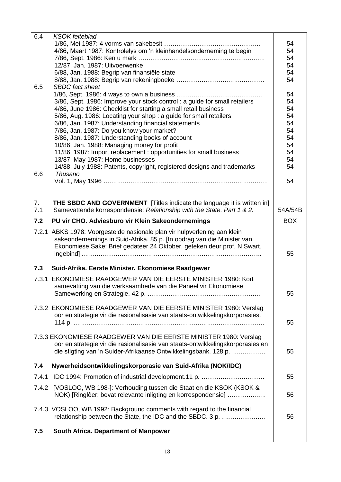| 6.4   | <b>KSOK</b> feiteblad                                                          |            |
|-------|--------------------------------------------------------------------------------|------------|
|       |                                                                                | 54         |
|       | 4/86, Maart 1987: Kontrolelys om 'n kleinhandelsonderneming te begin           | 54         |
|       |                                                                                | 54         |
|       | 12/87, Jan. 1987: Uitvoerwenke                                                 | 54         |
|       | 6/88, Jan. 1988: Begrip van finansiële state                                   | 54         |
| 6.5   | <b>SBDC</b> fact sheet                                                         | 54         |
|       |                                                                                | 54         |
|       | 3/86, Sept. 1986: Improve your stock control : a guide for small retailers     | 54         |
|       | 4/86, June 1986: Checklist for starting a small retail business                | 54         |
|       | 5/86, Aug. 1986: Locating your shop: a guide for small retailers               | 54         |
|       | 6/86, Jan. 1987: Understanding financial statements                            | 54         |
|       | 7/86, Jan. 1987: Do you know your market?                                      | 54         |
|       | 8/86, Jan. 1987: Understanding books of account                                | 54         |
|       | 10/86, Jan. 1988: Managing money for profit                                    | 54         |
|       | 11/86, 1987: Import replacement : opportunities for small business             | 54         |
|       | 13/87, May 1987: Home businesses                                               | 54         |
|       | 14/88, July 1988: Patents, copyright, registered designs and trademarks        | 54         |
| 6.6   | Thusano                                                                        |            |
|       |                                                                                | 54         |
|       |                                                                                |            |
| 7.    | <b>THE SBDC AND GOVERNMENT</b> [Titles indicate the language it is written in] |            |
| 7.1   | Samevattende korrespondensie: Relationship with the State. Part 1 & 2.         | 54A/54B    |
|       |                                                                                |            |
| 7.2   | PU vir CHO. Adviesburo vir Klein Sakeondernemings                              | <b>BOX</b> |
|       | 7.2.1 ABKS 1978: Voorgestelde nasionale plan vir hulpverlening aan klein       |            |
|       | sakeondernemings in Suid-Afrika. 85 p. [In opdrag van die Minister van         |            |
|       | Ekonomiese Sake: Brief gedateer 24 Oktober, geteken deur prof. N Swart,        | 55         |
|       |                                                                                |            |
| 7.3   | Suid-Afrika. Eerste Minister. Ekonomiese Raadgewer                             |            |
|       | 7.3.1 EKONOMIESE RAADGEWER VAN DIE EERSTE MINISTER 1980: Kort                  |            |
|       | samevatting van die werksaamhede van die Paneel vir Ekonomiese                 |            |
|       |                                                                                | 55         |
|       |                                                                                |            |
|       | 7.3.2 EKONOMIESE RAADGEWER VAN DIE EERSTE MINISTER 1980: Verslag               |            |
|       | oor en strategie vir die rasionalisasie van staats-ontwikkelingskorporasies.   | 55         |
|       |                                                                                |            |
|       | 7.3.3 EKONOMIESE RAADGEWER VAN DIE EERSTE MINISTER 1980: Verslag               |            |
|       | oor en strategie vir die rasionalisasie van staats-ontwikkelingskorporasies en |            |
|       | die stigting van 'n Suider-Afrikaanse Ontwikkelingsbank. 128 p.                | 55         |
|       |                                                                                |            |
| 7.4   | Nywerheidsontwikkelingskorporasie van Suid-Afrika (NOK/IDC)                    |            |
| 7.4.1 | IDC 1994: Promotion of industrial development.11 p.                            | 55         |
|       | 7.4.2 [VOSLOO, WB 198-]: Verhouding tussen die Staat en die KSOK (KSOK &       |            |
|       | NOK) [Ringlêer: bevat relevante inligting en korrespondensie]                  | 56         |
|       |                                                                                |            |
|       | 7.4.3 VOSLOO, WB 1992: Background comments with regard to the financial        |            |
|       | relationship between the State, the IDC and the SBDC. 3 p.                     | 56         |
|       |                                                                                |            |
| 7.5   | South Africa. Department of Manpower                                           |            |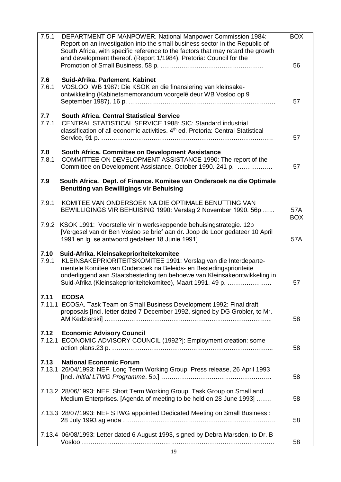| 7.5.1          | DEPARTMENT OF MANPOWER. National Manpower Commission 1984:<br>Report on an investigation into the small business sector in the Republic of<br>South Africa, with specific reference to the factors that may retard the growth<br>and development thereof. (Report 1/1984). Pretoria: Council for the                           | <b>BOX</b><br>56  |
|----------------|--------------------------------------------------------------------------------------------------------------------------------------------------------------------------------------------------------------------------------------------------------------------------------------------------------------------------------|-------------------|
| 7.6<br>7.6.1   | Suid-Afrika, Parlement, Kabinet<br>VOSLOO, WB 1987: Die KSOK en die finansiering van kleinsake-<br>ontwikkeling (Kabinetsmemorandum voorgelê deur WB Vosloo op 9                                                                                                                                                               | 57                |
| 7.7<br>7.7.1   | <b>South Africa, Central Statistical Service</b><br>CENTRAL STATISTICAL SERVICE 1988: SIC: Standard industrial<br>classification of all economic activities. 4 <sup>th</sup> ed. Pretoria: Central Statistical                                                                                                                 | 57                |
| 7.8<br>7.8.1   | South Africa. Committee on Development Assistance<br>COMMITTEE ON DEVELOPMENT ASSISTANCE 1990: The report of the<br>Committee on Development Assistance, October 1990. 241 p.                                                                                                                                                  | 57                |
| 7.9            | South Africa. Dept. of Finance. Komitee van Ondersoek na die Optimale<br><b>Benutting van Bewilligings vir Behuising</b>                                                                                                                                                                                                       |                   |
| 7.9.1          | KOMITEE VAN ONDERSOEK NA DIE OPTIMALE BENUTTING VAN<br>BEWILLIGINGS VIR BEHUISING 1990: Verslag 2 November 1990. 56p                                                                                                                                                                                                           | 57A<br><b>BOX</b> |
|                | 7.9.2 KSOK 1991: Voorstelle vir 'n werkskeppende behuisingstrategie. 12p<br>[Vergesel van dr Ben Vosloo se brief aan dr. Joop de Loor gedateer 10 April<br>1991 en Ig. se antwoord gedateer 18 Junie 1991]                                                                                                                     | 57A               |
| 7.10<br>7.9.1  | Suid-Afrika. Kleinsakeprioriteitekomitee<br>KLEINSAKEPRIORITEITSKOMITEE 1991: Verslag van die Interdeparte-<br>mentele Komitee van Ondersoek na Beleids- en Bestedingsprioriteite<br>onderliggend aan Staatsbesteding ten behoewe van Kleinsakeontwikkeling in<br>Suid-Afrika (Kleinsakeprioriteitekomitee), Maart 1991. 49 p. | 57                |
| 7.11           | <b>ECOSA</b><br>7.11.1 ECOSA. Task Team on Small Business Development 1992: Final draft<br>proposals [Incl. letter dated 7 December 1992, signed by DG Grobler, to Mr.                                                                                                                                                         | 58                |
| 7.12<br>7.12.1 | <b>Economic Advisory Council</b><br>ECONOMIC ADVISORY COUNCIL (1992?]: Employment creation: some                                                                                                                                                                                                                               | 58                |
| 7.13           | <b>National Economic Forum</b><br>7.13.1 26/04/1993: NEF. Long Term Working Group. Press release, 26 April 1993                                                                                                                                                                                                                | 58                |
|                | 7.13.2 28/06/1993: NEF. Short Term Working Group. Task Group on Small and<br>Medium Enterprises. [Agenda of meeting to be held on 28 June 1993]                                                                                                                                                                                | 58                |
|                | 7.13.3 28/07/1993: NEF STWG appointed Dedicated Meeting on Small Business :                                                                                                                                                                                                                                                    | 58                |
|                | 7.13.4 06/08/1993: Letter dated 6 August 1993, signed by Debra Marsden, to Dr. B                                                                                                                                                                                                                                               | 58                |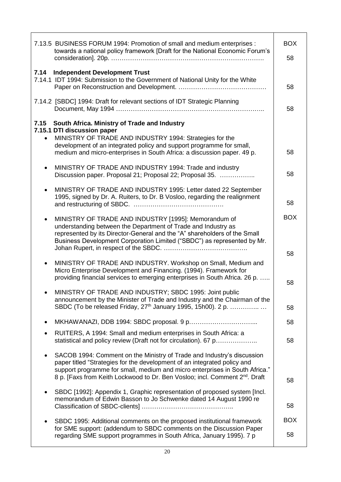| 7.13.5 BUSINESS FORUM 1994: Promotion of small and medium enterprises :<br>towards a national policy framework [Draft for the National Economic Forum's                                                                                                                                                                                   | <b>BOX</b><br>58 |
|-------------------------------------------------------------------------------------------------------------------------------------------------------------------------------------------------------------------------------------------------------------------------------------------------------------------------------------------|------------------|
|                                                                                                                                                                                                                                                                                                                                           |                  |
| 7.14<br><b>Independent Development Trust</b><br>7.14.1 IDT 1994: Submission to the Government of National Unity for the White                                                                                                                                                                                                             | 58               |
| 7.14.2 [SBDC] 1994: Draft for relevant sections of IDT Strategic Planning                                                                                                                                                                                                                                                                 | 58               |
| South Africa. Ministry of Trade and Industry<br>7.15<br>7.15.1 DTI discussion paper                                                                                                                                                                                                                                                       |                  |
| MINISTRY OF TRADE AND INDUSTRY 1994: Strategies for the<br>$\bullet$<br>development of an integrated policy and support programme for small,<br>medium and micro-enterprises in South Africa: a discussion paper. 49 p.                                                                                                                   | 58               |
| MINISTRY OF TRADE AND INDUSTRY 1994: Trade and industry<br>$\bullet$<br>Discussion paper. Proposal 21; Proposal 22; Proposal 35.                                                                                                                                                                                                          | 58               |
| MINISTRY OF TRADE AND INDUSTRY 1995: Letter dated 22 September<br>$\bullet$<br>1995, signed by Dr. A. Ruiters, to Dr. B Vosloo, regarding the realignment                                                                                                                                                                                 | 58               |
| MINISTRY OF TRADE AND INDUSTRY [1995]: Memorandum of<br>understanding between the Department of Trade and Industry as<br>represented by its Director-General and the "A" shareholders of the Small<br>Business Development Corporation Limited ("SBDC") as represented by Mr.                                                             | <b>BOX</b>       |
| MINISTRY OF TRADE AND INDUSTRY. Workshop on Small, Medium and<br>$\bullet$<br>Micro Enterprise Development and Financing. (1994). Framework for<br>providing financial services to emerging enterprises in South Africa. 26 p.                                                                                                            | 58<br>58         |
| MINISTRY OF TRADE AND INDUSTRY; SBDC 1995: Joint public<br>announcement by the Minister of Trade and Industry and the Chairman of the<br>SBDC (To be released Friday, 27 <sup>th</sup> January 1995, 15h00). 2 p.                                                                                                                         | 58               |
|                                                                                                                                                                                                                                                                                                                                           | 58               |
| RUITERS, A 1994: Small and medium enterprises in South Africa: a<br>statistical and policy review (Draft not for circulation). 67 p                                                                                                                                                                                                       | 58               |
| SACOB 1994: Comment on the Ministry of Trade and Industry's discussion<br>$\bullet$<br>paper titled "Strategies for the development of an integrated policy and<br>support programme for small, medium and micro enterprises in South Africa."<br>8 p. [Faxs from Keith Lockwood to Dr. Ben Vosloo; incl. Comment 2 <sup>nd</sup> . Draft | 58               |
| SBDC [1992]: Appendix 1, Graphic representation of proposed system [Incl.<br>$\bullet$<br>memorandum of Edwin Basson to Jo Schwenke dated 14 August 1990 re                                                                                                                                                                               | 58               |
| SBDC 1995: Additional comments on the proposed institutional framework                                                                                                                                                                                                                                                                    | <b>BOX</b>       |
| for SME support: (addendum to SBDC comments on the Discussion Paper<br>regarding SME support programmes in South Africa, January 1995). 7 p                                                                                                                                                                                               | 58               |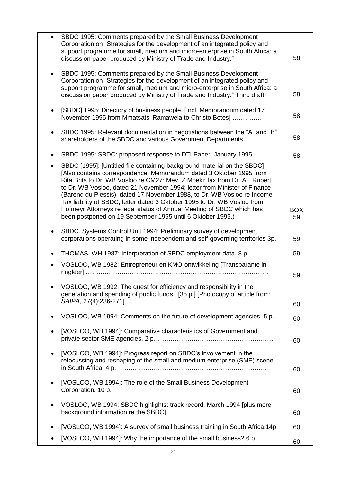|           | SBDC 1995: Comments prepared by the Small Business Development<br>Corporation on "Strategies for the development of an integrated policy and<br>support programme for small, medium and micro-enterprise in South Africa: a<br>discussion paper produced by Ministry of Trade and Industry."                                                                                                                                                                                                                                                                                                           | 58               |
|-----------|--------------------------------------------------------------------------------------------------------------------------------------------------------------------------------------------------------------------------------------------------------------------------------------------------------------------------------------------------------------------------------------------------------------------------------------------------------------------------------------------------------------------------------------------------------------------------------------------------------|------------------|
|           | SBDC 1995: Comments prepared by the Small Business Development<br>Corporation on "Strategies for the development of an integrated policy and<br>support programme for small, medium and micro-enterprise in South Africa: a<br>discussion paper produced by Ministry of Trade and Industry." Third draft.                                                                                                                                                                                                                                                                                              | 58               |
|           | [SBDC] 1995: Directory of business people. [Incl. Memorandum dated 17<br>November 1995 from Mmatsatsi Ramawela to Christo Botes]                                                                                                                                                                                                                                                                                                                                                                                                                                                                       | 58               |
|           | SBDC 1995: Relevant documentation in negotiations between the "A" and "B"<br>shareholders of the SBDC and various Government Departments                                                                                                                                                                                                                                                                                                                                                                                                                                                               | 58               |
|           | SBDC 1995: SBDC: proposed response to DTI Paper, January 1995.                                                                                                                                                                                                                                                                                                                                                                                                                                                                                                                                         | 58               |
|           | SBDC [1995]: [Untitled file containing background material on the SBDC]<br>[Also contains correspondence: Memorandum dated 3 Oktober 1995 from<br>Rita Brits to Dr. WB Vosloo re CM27: Mev. Z Mbeki; fax from Dr. AE Rupert<br>to Dr. WB Vosloo, dated 21 November 1994; letter from Minister of Finance<br>(Barend du Plessis), dated 17 November 1988, to Dr. WB Vosloo re Income<br>Tax liability of SBDC; letter dated 3 Oktober 1995 to Dr. WB Vosloo from<br>Hofmeyr Attorneys re legal status of Annual Meeting of SBDC which has<br>been postponed on 19 September 1995 until 6 Oktober 1995.) | <b>BOX</b><br>59 |
|           | SBDC. Systems Control Unit 1994: Preliminary survey of development<br>corporations operating in some independent and self-governing territories 3p.                                                                                                                                                                                                                                                                                                                                                                                                                                                    | 59               |
| ٠         | THOMAS, WH 1987: Interpretation of SBDC employment data. 8 p.                                                                                                                                                                                                                                                                                                                                                                                                                                                                                                                                          | 59               |
|           | VOSLOO, WB 1982: Entrepreneur en KMO-ontwikkeling [Transparante in                                                                                                                                                                                                                                                                                                                                                                                                                                                                                                                                     | 59               |
|           | VOSLOO, WB 1992: The quest for efficiency and responsibility in the<br>generation and spending of public funds. [35 p.] [Photocopy of article from:                                                                                                                                                                                                                                                                                                                                                                                                                                                    | 60               |
|           | VOSLOO, WB 1994: Comments on the future of development agencies. 5 p.                                                                                                                                                                                                                                                                                                                                                                                                                                                                                                                                  | 60               |
| ٠         | [VOSLOO, WB 1994]: Comparative characteristics of Government and                                                                                                                                                                                                                                                                                                                                                                                                                                                                                                                                       | 60               |
| ٠         | [VOSLOO, WB 1994]: Progress report on SBDC's involvement in the<br>refocussing and reshaping of the small and medium enterprise (SME) scene                                                                                                                                                                                                                                                                                                                                                                                                                                                            | 60               |
| $\bullet$ | [VOSLOO, WB 1994]: The role of the Small Business Development<br>Corporation. 10 p.                                                                                                                                                                                                                                                                                                                                                                                                                                                                                                                    | 60               |
| ٠         | VOSLOO, WB 1994: SBDC highlights: track record, March 1994 [plus more                                                                                                                                                                                                                                                                                                                                                                                                                                                                                                                                  | 60               |
|           | [VOSLOO, WB 1994]: A survey of small business training in South Africa.14p                                                                                                                                                                                                                                                                                                                                                                                                                                                                                                                             | 60               |
|           | [VOSLOO, WB 1994]: Why the importance of the small business? 6 p.                                                                                                                                                                                                                                                                                                                                                                                                                                                                                                                                      | 60               |
|           |                                                                                                                                                                                                                                                                                                                                                                                                                                                                                                                                                                                                        |                  |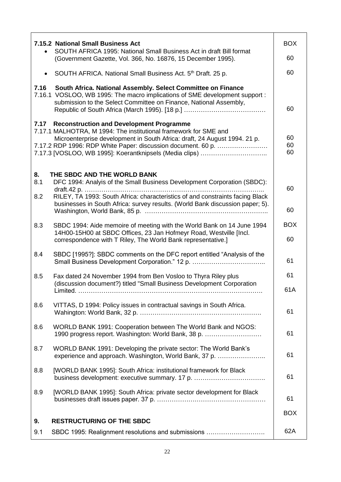|                  | <b>7.15.2 National Small Business Act</b><br>SOUTH AFRICA 1995: National Small Business Act in draft Bill format                                                                                                                                                                                                            | <b>BOX</b>             |
|------------------|-----------------------------------------------------------------------------------------------------------------------------------------------------------------------------------------------------------------------------------------------------------------------------------------------------------------------------|------------------------|
|                  | (Government Gazette, Vol. 366, No. 16876, 15 December 1995).                                                                                                                                                                                                                                                                | 60                     |
|                  | SOUTH AFRICA. National Small Business Act. 5th Draft. 25 p.                                                                                                                                                                                                                                                                 | 60                     |
| 7.16             | South Africa. National Assembly. Select Committee on Finance<br>7.16.1 VOSLOO, WB 1995: The macro implications of SME development support :<br>submission to the Select Committee on Finance, National Assembly,                                                                                                            | 60                     |
| 7.17             | <b>Reconstruction and Development Programme</b><br>7.17.1 MALHOTRA, M 1994: The institutional framework for SME and<br>Microenterprise development in South Africa: draft, 24 August 1994. 21 p.<br>7.17.2 RDP 1996: RDP White Paper: discussion document. 60 p.<br>7.17.3 [VOSLOO, WB 1995]: Koerantknipsels (Media clips) | 60<br>60<br>60         |
| 8.<br>8.1<br>8.2 | THE SBDC AND THE WORLD BANK<br>DFC 1994: Analyis of the Small Business Development Corporation (SBDC):<br>RILEY, TA 1993: South Africa: characteristics of and constraints facing Black<br>businesses in South Africa: survey results. (World Bank discussion paper; 5).                                                    | 60                     |
| 8.3              | SBDC 1994: Aide memoire of meeting with the World Bank on 14 June 1994<br>14H00-15H00 at SBDC Offices, 23 Jan Hofmeyr Road, Westville [Incl.<br>correspondence with T Riley, The World Bank representative.]                                                                                                                | 60<br><b>BOX</b><br>60 |
| 8.4              | SBDC [1995?]: SBDC comments on the DFC report entitled "Analysis of the                                                                                                                                                                                                                                                     | 61                     |
| 8.5              | Fax dated 24 November 1994 from Ben Vosloo to Thyra Riley plus<br>(discussion document?) titled "Small Business Development Corporation                                                                                                                                                                                     | 61<br>61A              |
| 8.6              | VITTAS, D 1994: Policy issues in contractual savings in South Africa.                                                                                                                                                                                                                                                       | 61                     |
| 8.6              | WORLD BANK 1991: Cooperation between The World Bank and NGOS:<br>1990 progress report. Washington: World Bank, 38 p.                                                                                                                                                                                                        | 61                     |
| 8.7              | WORLD BANK 1991: Developing the private sector: The World Bank's<br>experience and approach. Washington, World Bank, 37 p.                                                                                                                                                                                                  | 61                     |
| 8.8              | [WORLD BANK 1995]: South Africa: institutional framework for Black                                                                                                                                                                                                                                                          | 61                     |
| 8.9              | [WORLD BANK 1995]: South Africa: private sector development for Black                                                                                                                                                                                                                                                       | 61                     |
| 9.               | <b>RESTRUCTURING OF THE SBDC</b>                                                                                                                                                                                                                                                                                            | <b>BOX</b>             |
| 9.1              | SBDC 1995: Realignment resolutions and submissions                                                                                                                                                                                                                                                                          | 62A                    |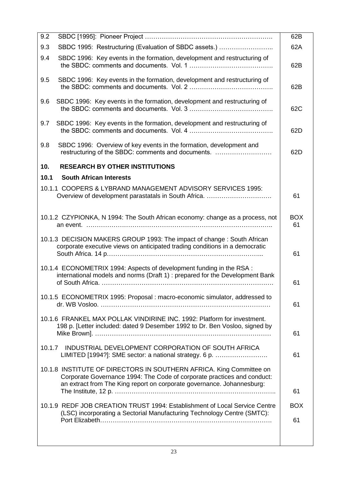| 9.2                                                                                                                                                                                                                      | 62B              |
|--------------------------------------------------------------------------------------------------------------------------------------------------------------------------------------------------------------------------|------------------|
| SBDC 1995: Restructuring (Evaluation of SBDC assets.)<br>9.3                                                                                                                                                             | 62A              |
| 9.4<br>SBDC 1996: Key events in the formation, development and restructuring of                                                                                                                                          | 62B              |
| 9.5<br>SBDC 1996: Key events in the formation, development and restructuring of                                                                                                                                          | 62B              |
| 9.6<br>SBDC 1996: Key events in the formation, development and restructuring of                                                                                                                                          | 62C              |
| 9.7<br>SBDC 1996: Key events in the formation, development and restructuring of                                                                                                                                          | 62D              |
| 9.8<br>SBDC 1996: Overview of key events in the formation, development and<br>restructuring of the SBDC: comments and documents.                                                                                         | 62D              |
| <b>RESEARCH BY OTHER INSTITUTIONS</b><br>10.                                                                                                                                                                             |                  |
| 10.1<br><b>South African Interests</b>                                                                                                                                                                                   |                  |
| 10.1.1 COOPERS & LYBRAND MANAGEMENT ADVISORY SERVICES 1995:<br>Overview of development parastatals in South Africa.                                                                                                      | 61               |
| 10.1.2 CZYPIONKA, N 1994: The South African economy: change as a process, not                                                                                                                                            | <b>BOX</b><br>61 |
| 10.1.3 DECISION MAKERS GROUP 1993: The impact of change: South African<br>corporate executive views on anticipated trading conditions in a democratic                                                                    | 61               |
| 10.1.4 ECONOMETRIX 1994: Aspects of development funding in the RSA :<br>international models and norms (Draft 1) : prepared for the Development Bank                                                                     | 61               |
| 10.1.5 ECONOMETRIX 1995: Proposal : macro-economic simulator, addressed to                                                                                                                                               | 61               |
| 10.1.6 FRANKEL MAX POLLAK VINDIRINE INC. 1992: Platform for investment.<br>198 p. [Letter included: dated 9 Desember 1992 to Dr. Ben Vosloo, signed by                                                                   | 61               |
| 10.1.7<br>INDUSTRIAL DEVELOPMENT CORPORATION OF SOUTH AFRICA<br>LIMITED [1994?]: SME sector: a national strategy. 6 p.                                                                                                   | 61               |
| 10.1.8 INSTITUTE OF DIRECTORS IN SOUTHERN AFRICA. King Committee on<br>Corporate Governance 1994: The Code of corporate practices and conduct:<br>an extract from The King report on corporate governance. Johannesburg: | 61               |
|                                                                                                                                                                                                                          |                  |
| 10.1.9 REDF JOB CREATION TRUST 1994: Establishment of Local Service Centre<br>(LSC) incorporating a Sectorial Manufacturing Technology Centre (SMTC):                                                                    | <b>BOX</b>       |
|                                                                                                                                                                                                                          | 61               |
|                                                                                                                                                                                                                          |                  |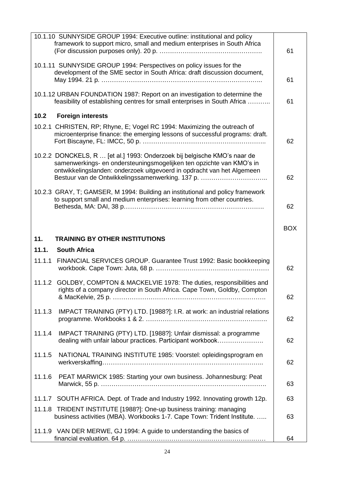|        | 10.1.10 SUNNYSIDE GROUP 1994: Executive outline: institutional and policy<br>framework to support micro, small and medium enterprises in South Africa     | 61         |
|--------|-----------------------------------------------------------------------------------------------------------------------------------------------------------|------------|
|        | 10.1.11 SUNNYSIDE GROUP 1994: Perspectives on policy issues for the                                                                                       |            |
|        | development of the SME sector in South Africa: draft discussion document,                                                                                 |            |
|        |                                                                                                                                                           | 61         |
|        | 10.1.12 URBAN FOUNDATION 1987: Report on an investigation to determine the                                                                                |            |
|        | feasibility of establishing centres for small enterprises in South Africa                                                                                 | 61         |
| 10.2   | <b>Foreign interests</b>                                                                                                                                  |            |
|        | 10.2.1 CHRISTEN, RP; Rhyne, E; Vogel RC 1994: Maximizing the outreach of                                                                                  |            |
|        | microenterprise finance: the emerging lessons of successful programs: draft.                                                                              |            |
|        |                                                                                                                                                           | 62         |
|        | 10.2.2 DONCKELS, R  [et al.] 1993: Onderzoek bij belgische KMO's naar de                                                                                  |            |
|        | samenwerkings- en ondersteuningsmogelijken ten opzichte van KMO's in<br>ontwikkelingslanden: onderzoek uitgevoerd in opdracht van het Algemeen            |            |
|        | Bestuur van de Ontwikkelingssamenwerking. 137 p.                                                                                                          | 62         |
|        |                                                                                                                                                           |            |
|        | 10.2.3 GRAY, T; GAMSER, M 1994: Building an institutional and policy framework<br>to support small and medium enterprises: learning from other countries. |            |
|        |                                                                                                                                                           | 62         |
|        |                                                                                                                                                           |            |
|        |                                                                                                                                                           | <b>BOX</b> |
| 11.    | <b>TRAINING BY OTHER INSTITUTIONS</b>                                                                                                                     |            |
| 11.1.  | <b>South Africa</b>                                                                                                                                       |            |
| 11.1.1 | FINANCIAL SERVICES GROUP. Guarantee Trust 1992: Basic bookkeeping                                                                                         |            |
|        |                                                                                                                                                           | 62         |
|        | 11.1.2 GOLDBY, COMPTON & MACKELVIE 1978: The duties, responsibilities and                                                                                 |            |
|        | rights of a company director in South Africa. Cape Town, Goldby, Compton                                                                                  |            |
|        |                                                                                                                                                           | 62         |
| 11.1.3 | IMPACT TRAINING (PTY) LTD. [1988?]: I.R. at work: an industrial relations                                                                                 |            |
|        |                                                                                                                                                           | 62         |
| 11.1.4 | IMPACT TRAINING (PTY) LTD. [1988?]: Unfair dismissal: a programme                                                                                         |            |
|        | dealing with unfair labour practices. Participant workbook                                                                                                | 62         |
|        |                                                                                                                                                           |            |
| 11.1.5 | NATIONAL TRAINING INSTITUTE 1985: Voorstel: opleidingsprogram en                                                                                          | 62         |
|        |                                                                                                                                                           |            |
| 11.1.6 | PEAT MARWICK 1985: Starting your own business. Johannesburg: Peat                                                                                         |            |
|        |                                                                                                                                                           | 63         |
|        | 11.1.7 SOUTH AFRICA. Dept. of Trade and Industry 1992. Innovating growth 12p.                                                                             | 63         |
| 11.1.8 |                                                                                                                                                           |            |
|        | TRIDENT INSTITUTE [1988?]: One-up business training: managing                                                                                             |            |
|        | business activities (MBA). Workbooks 1-7. Cape Town: Trident Institute.                                                                                   | 63         |
|        | 11.1.9 VAN DER MERWE, GJ 1994: A guide to understanding the basics of                                                                                     |            |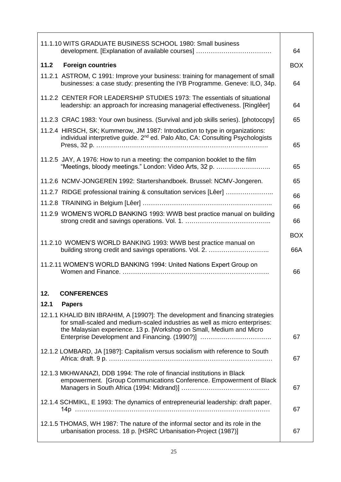| 11.1.10 WITS GRADUATE BUSINESS SCHOOL 1980: Small business<br>development. [Explanation of available courses]                                                                                                                                                                           | 64         |
|-----------------------------------------------------------------------------------------------------------------------------------------------------------------------------------------------------------------------------------------------------------------------------------------|------------|
| 11.2 Foreign countries                                                                                                                                                                                                                                                                  | <b>BOX</b> |
| 11.2.1 ASTROM, C 1991: Improve your business: training for management of small<br>businesses: a case study: presenting the IYB Programme. Geneve: ILO, 34p.                                                                                                                             | 64         |
| 11.2.2 CENTER FOR LEADERSHIP STUDIES 1973: The essentials of situational<br>leadership: an approach for increasing managerial effectiveness. [Ringlêer]                                                                                                                                 | 64         |
| 11.2.3 CRAC 1983: Your own business. (Survival and job skills series). [photocopy]                                                                                                                                                                                                      | 65         |
| 11.2.4 HIRSCH, SK; Kummerow, JM 1987: Introduction to type in organizations:<br>individual interpretive guide. 2 <sup>nd</sup> ed. Palo Alto, CA: Consulting Psychologists                                                                                                              | 65         |
| 11.2.5 JAY, A 1976: How to run a meeting: the companion booklet to the film<br>"Meetings, bloody meetings." London: Video Arts, 32 p.                                                                                                                                                   | 65         |
| 11.2.6 NCMV-JONGEREN 1992: Startershandboek. Brussel: NCMV-Jongeren.                                                                                                                                                                                                                    | 65         |
| 11.2.7 RIDGE professional training & consultation services [Lêer]                                                                                                                                                                                                                       | 66         |
|                                                                                                                                                                                                                                                                                         | 66         |
| 11.2.9 WOMEN'S WORLD BANKING 1993: WWB best practice manual on building                                                                                                                                                                                                                 | 66         |
|                                                                                                                                                                                                                                                                                         | <b>BOX</b> |
| 11.2.10 WOMEN'S WORLD BANKING 1993: WWB best practice manual on<br>building strong credit and savings operations. Vol. 2.                                                                                                                                                               | 66A        |
| 11.2.11 WOMEN'S WORLD BANKING 1994: United Nations Expert Group on                                                                                                                                                                                                                      | 66         |
| 12.<br><b>CONFERENCES</b>                                                                                                                                                                                                                                                               |            |
| 12.1<br><b>Papers</b>                                                                                                                                                                                                                                                                   |            |
| 12.1.1 KHALID BIN IBRAHIM, A [1990?]: The development and financing strategies<br>for small-scaled and medium-scaled industries as well as micro enterprises:<br>the Malaysian experience. 13 p. [Workshop on Small, Medium and Micro<br>Enterprise Development and Financing. (1990?)] | 67         |
| 12.1.2 LOMBARD, JA [198?]: Capitalism versus socialism with reference to South                                                                                                                                                                                                          | 67         |
| 12.1.3 MKHWANAZI, DDB 1994: The role of financial institutions in Black<br>empowerment. [Group Communications Conference. Empowerment of Black                                                                                                                                          | 67         |
| 12.1.4 SCHMIKL, E 1993: The dynamics of entrepreneurial leadership: draft paper.                                                                                                                                                                                                        | 67         |
| 12.1.5 THOMAS, WH 1987: The nature of the informal sector and its role in the<br>urbanisation process. 18 p. [HSRC Urbanisation-Project (1987)]                                                                                                                                         | 67         |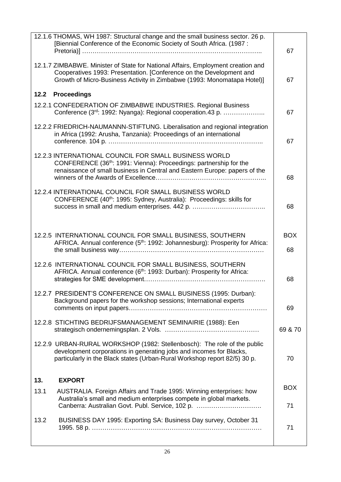| 12.1.6 THOMAS, WH 1987: Structural change and the small business sector. 26 p.<br>[Biennial Conference of the Economic Society of South Africa. (1987 : | 67         |
|---------------------------------------------------------------------------------------------------------------------------------------------------------|------------|
| 12.1.7 ZIMBABWE. Minister of State for National Affairs, Employment creation and                                                                        |            |
| Cooperatives 1993: Presentation. [Conference on the Development and                                                                                     |            |
| Growth of Micro-Business Activity in Zimbabwe (1993: Monomatapa Hotel)]                                                                                 | 67         |
| <b>Proceedings</b><br>12.2                                                                                                                              |            |
| 12.2.1 CONFEDERATION OF ZIMBABWE INDUSTRIES. Regional Business                                                                                          |            |
| Conference (3rd: 1992: Nyanga): Regional cooperation.43 p.                                                                                              | 67         |
| 12.2.2 FRIEDRICH-NAUMANNN-STIFTUNG. Liberalisation and regional integration                                                                             |            |
| in Africa (1992: Arusha, Tanzania): Proceedings of an international                                                                                     |            |
|                                                                                                                                                         | 67         |
| 12.2.3 INTERNATIONAL COUNCIL FOR SMALL BUSINESS WORLD                                                                                                   |            |
| CONFERENCE (36 <sup>th</sup> : 1991: Vienna): Proceedings: partnership for the                                                                          |            |
| renaissance of small business in Central and Eastern Europe: papers of the                                                                              |            |
|                                                                                                                                                         | 68         |
| 12.2.4 INTERNATIONAL COUNCIL FOR SMALL BUSINESS WORLD                                                                                                   |            |
| CONFERENCE (40 <sup>th</sup> : 1995: Sydney, Australia): Proceedings: skills for                                                                        |            |
|                                                                                                                                                         | 68         |
|                                                                                                                                                         |            |
|                                                                                                                                                         |            |
| 12.2.5 INTERNATIONAL COUNCIL FOR SMALL BUSINESS, SOUTHERN<br>AFRICA. Annual conference (5 <sup>th</sup> : 1992: Johannesburg): Prosperity for Africa:   | <b>BOX</b> |
|                                                                                                                                                         | 68         |
|                                                                                                                                                         |            |
| 12.2.6 INTERNATIONAL COUNCIL FOR SMALL BUSINESS, SOUTHERN                                                                                               |            |
| AFRICA. Annual conference (6th: 1993: Durban): Prosperity for Africa:                                                                                   | 68         |
|                                                                                                                                                         |            |
| 12.2.7 PRESIDENT'S CONFERENCE ON SMALL BUSINESS (1995: Durban):                                                                                         |            |
| Background papers for the workshop sessions; International experts                                                                                      | 69         |
|                                                                                                                                                         |            |
| 12.2.8 STICHTING BEDRIJFSMANAGEMENT SEMINAIRIE (1988): Een                                                                                              |            |
|                                                                                                                                                         | 69 & 70    |
| 12.2.9 URBAN-RURAL WORKSHOP (1982: Stellenbosch): The role of the public                                                                                |            |
| development corporations in generating jobs and incomes for Blacks,                                                                                     |            |
| particularly in the Black states (Urban-Rural Workshop report 82/5) 30 p.                                                                               | 70         |
|                                                                                                                                                         |            |
| 13.<br><b>EXPORT</b>                                                                                                                                    | <b>BOX</b> |
| 13.1<br>AUSTRALIA. Foreign Affairs and Trade 1995: Winning enterprises: how                                                                             |            |
| Australia's small and medium enterprises compete in global markets.<br>Canberra: Australian Govt. Publ. Service, 102 p.                                 | 71         |
|                                                                                                                                                         |            |
| 13.2<br>BUSINESS DAY 1995: Exporting SA: Business Day survey, October 31                                                                                |            |
|                                                                                                                                                         | 71         |
|                                                                                                                                                         |            |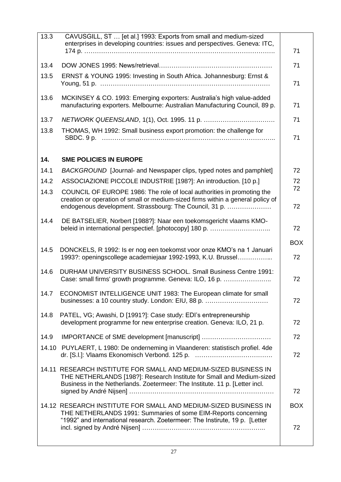| 13.3  | CAVUSGILL, ST  [et al.] 1993: Exports from small and medium-sized<br>enterprises in developing countries: issues and perspectives. Geneva: ITC,                                                                         | 71         |
|-------|-------------------------------------------------------------------------------------------------------------------------------------------------------------------------------------------------------------------------|------------|
| 13.4  |                                                                                                                                                                                                                         | 71         |
| 13.5  | ERNST & YOUNG 1995: Investing in South Africa. Johannesburg: Ernst &                                                                                                                                                    | 71         |
| 13.6  | MCKINSEY & CO. 1993: Emerging exporters: Australia's high value-added<br>manufacturing exporters. Melbourne: Australian Manufacturing Council, 89 p.                                                                    | 71         |
| 13.7  |                                                                                                                                                                                                                         | 71         |
| 13.8  | THOMAS, WH 1992: Small business export promotion: the challenge for                                                                                                                                                     | 71         |
| 14.   | <b>SME POLICIES IN EUROPE</b>                                                                                                                                                                                           |            |
| 14.1  | BACKGROUND [Journal- and Newspaper clips, typed notes and pamphlet]                                                                                                                                                     | 72         |
| 14.2  | ASSOCIAZIONE PICCOLE INDUSTRIE [198?]: An introduction. [10 p.]                                                                                                                                                         | 72         |
| 14.3  | COUNCIL OF EUROPE 1986: The role of local authorities in promoting the<br>creation or operation of small or medium-sized firms within a general policy of                                                               | 72         |
|       | endogenous development. Strassbourg: The Council, 31 p.                                                                                                                                                                 | 72         |
| 14.4  | DE BATSELIER, Norbert [1988?]: Naar een toekomsgericht vlaams KMO-<br>beleid in international perspectief. [photocopy] 180 p.                                                                                           | 72         |
|       |                                                                                                                                                                                                                         |            |
|       |                                                                                                                                                                                                                         | <b>BOX</b> |
| 14.5  | DONCKELS, R 1992: Is er nog een toekomst voor onze KMO's na 1 Januari<br>1993?: openingscollege academiejaar 1992-1993, K.U. Brussel                                                                                    | 72         |
| 14.6  | DURHAM UNIVERSITY BUSINESS SCHOOL. Small Business Centre 1991:<br>Case: small firms' growth programme. Geneva: ILO, 16 p.                                                                                               | 72         |
| 14.7  | ECONOMIST INTELLIGENCE UNIT 1983: The European climate for small<br>businesses: a 10 country study. London: EIU, 88 p.                                                                                                  | 72         |
| 14.8  | PATEL, VG; Awashi, D [1991?]: Case study: EDI's entrepreneurship<br>development programme for new enterprise creation. Geneva: ILO, 21 p.                                                                               | 72         |
| 14.9  |                                                                                                                                                                                                                         | 72         |
| 14.10 | PUYLAERT, L 1980: De onderneming in Vlaanderen: statistisch profiel. 4de                                                                                                                                                | 72         |
|       | 14.11 RESEARCH INSTITUTE FOR SMALL AND MEDIUM-SIZED BUSINESS IN<br>THE NETHERLANDS [198?]: Research Institute for Small and Medium-sized<br>Business in the Netherlands. Zoetermeer: The Institute. 11 p. [Letter incl. | 72         |
|       | 14.12 RESEARCH INSTITUTE FOR SMALL AND MEDIUM-SIZED BUSINESS IN<br>THE NETHERLANDS 1991: Summaries of some EIM-Reports concerning<br>"1992" and international research. Zoetermeer: The Instirute, 19 p. [Letter        | <b>BOX</b> |